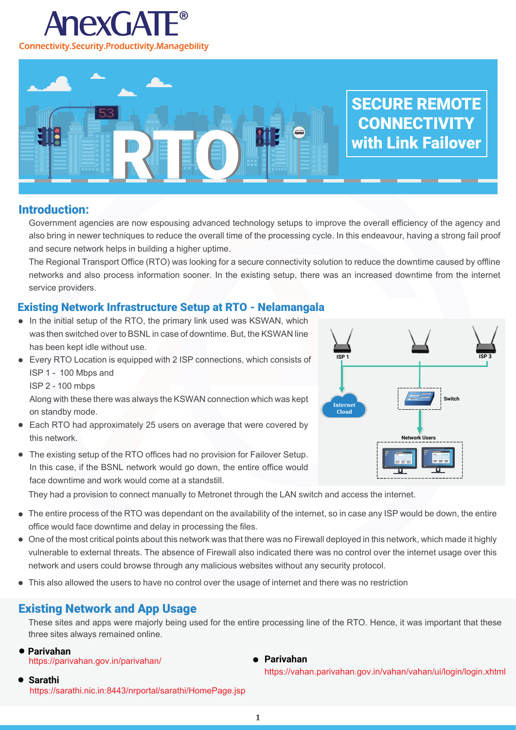

# RTO SECURE REMOTE **CONNECTIVITY** with Link Failover

# Introduction:

Government agencies are now espousing advanced technology setups to improve the overall efficiency of the agency and also bring in newer techniques to reduce the overall time of the processing cycle. In this endeavour, having a strong fail proof and secure network helps in building a higher uptime.

The Regional Transport Office (RTO) was looking for a secure connectivity solution to reduce the downtime caused by offline networks and also process information sooner. In the existing setup, there was an increased downtime from the internet service providers.

# Existing Network Infrastructure Setup at RTO - Nelamangala

- In the initial setup of the RTO, the primary link used was KSWAN, which was then switched over to BSNL in case of downtime. But, the KSWAN line has been kept idle without use.
- Every RTO Location is equipped with 2 ISP connections, which consists of ISP 1 - 100 Mbps and

ISP 2 - 100 mbps

Along with these there was always the KSWAN connection which was kept on standby mode.

- Each RTO had approximately 25 users on average that were covered by this network.
- The existing setup of the RTO offices had no provision for Failover Setup. In this case, if the BSNL network would go down, the entire office would face downtime and work would come at a standstill.

They had a provision to connect manually to Metronet through the LAN switch and access the internet.

- The entire process of the RTO was dependant on the availability of the internet, so in case any ISP would be down, the entire office would face downtime and delay in processing the files.
- One of the most critical points about this network was that there was no Firewall deployed in this network, which made it highly vulnerable to external threats. The absence of Firewall also indicated there was no control over the internet usage over this network and users could browse through any malicious websites without any security protocol.
- This also allowed the users to have no control over the usage of internet and there was no restriction

# Existing Network and App Usage

These sites and apps were majorly being used for the entire processing line of the RTO. Hence, it was important that these three sites always remained online.

**Parivahan**  https://parivahan.gov.in/parivahan/

#### **Parivahan**

https://vahan.parivahan.gov.in/vahan/vahan/ui/login/login.xhtml

**Sarathi**

https://sarathi.nic.in:8443/nrportal/sarathi/HomePage.jsp